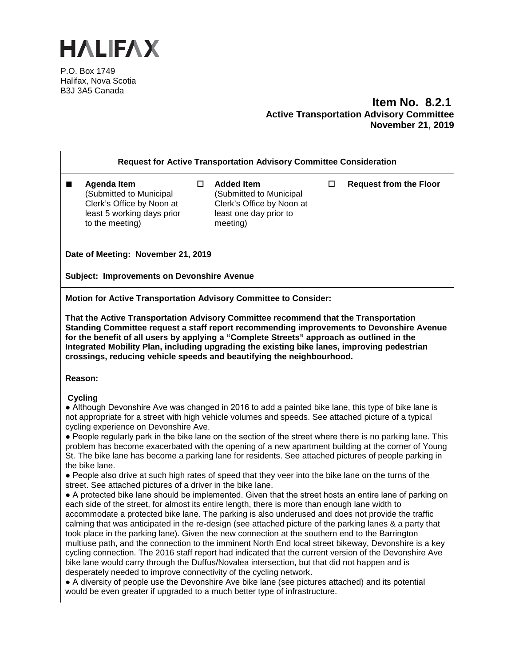

P.O. Box 1749 Halifax, Nova Scotia B3J 3A5 Canada

## **Item No. 8.2.1 Active Transportation Advisory Committee November 21, 2019**

| <b>Request for Active Transportation Advisory Committee Consideration</b>                                                                                                                                                                                                                                                                                                                                                                                                                                                                                                                                                                                                                                                                                                                                                                                                                                                                                                                                                                                                                                                                                                                                                                                                                                                                                                                                                                                                                                                                                                                                                                                                                                                                                                                                                                                                                                   |   |                                                                                                                 |        |                               |  |
|-------------------------------------------------------------------------------------------------------------------------------------------------------------------------------------------------------------------------------------------------------------------------------------------------------------------------------------------------------------------------------------------------------------------------------------------------------------------------------------------------------------------------------------------------------------------------------------------------------------------------------------------------------------------------------------------------------------------------------------------------------------------------------------------------------------------------------------------------------------------------------------------------------------------------------------------------------------------------------------------------------------------------------------------------------------------------------------------------------------------------------------------------------------------------------------------------------------------------------------------------------------------------------------------------------------------------------------------------------------------------------------------------------------------------------------------------------------------------------------------------------------------------------------------------------------------------------------------------------------------------------------------------------------------------------------------------------------------------------------------------------------------------------------------------------------------------------------------------------------------------------------------------------------|---|-----------------------------------------------------------------------------------------------------------------|--------|-------------------------------|--|
| <b>Agenda Item</b><br>(Submitted to Municipal<br>Clerk's Office by Noon at<br>least 5 working days prior<br>to the meeting)                                                                                                                                                                                                                                                                                                                                                                                                                                                                                                                                                                                                                                                                                                                                                                                                                                                                                                                                                                                                                                                                                                                                                                                                                                                                                                                                                                                                                                                                                                                                                                                                                                                                                                                                                                                 | 0 | <b>Added Item</b><br>(Submitted to Municipal<br>Clerk's Office by Noon at<br>least one day prior to<br>meeting) | $\Box$ | <b>Request from the Floor</b> |  |
| Date of Meeting: November 21, 2019                                                                                                                                                                                                                                                                                                                                                                                                                                                                                                                                                                                                                                                                                                                                                                                                                                                                                                                                                                                                                                                                                                                                                                                                                                                                                                                                                                                                                                                                                                                                                                                                                                                                                                                                                                                                                                                                          |   |                                                                                                                 |        |                               |  |
| <b>Subject: Improvements on Devonshire Avenue</b>                                                                                                                                                                                                                                                                                                                                                                                                                                                                                                                                                                                                                                                                                                                                                                                                                                                                                                                                                                                                                                                                                                                                                                                                                                                                                                                                                                                                                                                                                                                                                                                                                                                                                                                                                                                                                                                           |   |                                                                                                                 |        |                               |  |
| Motion for Active Transportation Advisory Committee to Consider:                                                                                                                                                                                                                                                                                                                                                                                                                                                                                                                                                                                                                                                                                                                                                                                                                                                                                                                                                                                                                                                                                                                                                                                                                                                                                                                                                                                                                                                                                                                                                                                                                                                                                                                                                                                                                                            |   |                                                                                                                 |        |                               |  |
| That the Active Transportation Advisory Committee recommend that the Transportation<br>Standing Committee request a staff report recommending improvements to Devonshire Avenue<br>for the benefit of all users by applying a "Complete Streets" approach as outlined in the<br>Integrated Mobility Plan, including upgrading the existing bike lanes, improving pedestrian<br>crossings, reducing vehicle speeds and beautifying the neighbourhood.<br>Reason:                                                                                                                                                                                                                                                                                                                                                                                                                                                                                                                                                                                                                                                                                                                                                                                                                                                                                                                                                                                                                                                                                                                                                                                                                                                                                                                                                                                                                                             |   |                                                                                                                 |        |                               |  |
| <b>Cycling</b><br>• Although Devonshire Ave was changed in 2016 to add a painted bike lane, this type of bike lane is<br>not appropriate for a street with high vehicle volumes and speeds. See attached picture of a typical<br>cycling experience on Devonshire Ave.<br>• People regularly park in the bike lane on the section of the street where there is no parking lane. This<br>problem has become exacerbated with the opening of a new apartment building at the corner of Young<br>St. The bike lane has become a parking lane for residents. See attached pictures of people parking in<br>the bike lane.<br>• People also drive at such high rates of speed that they veer into the bike lane on the turns of the<br>street. See attached pictures of a driver in the bike lane.<br>• A protected bike lane should be implemented. Given that the street hosts an entire lane of parking on<br>each side of the street, for almost its entire length, there is more than enough lane width to<br>accommodate a protected bike lane. The parking is also underused and does not provide the traffic<br>calming that was anticipated in the re-design (see attached picture of the parking lanes & a party that<br>took place in the parking lane). Given the new connection at the southern end to the Barrington<br>multiuse path, and the connection to the imminent North End local street bikeway, Devonshire is a key<br>cycling connection. The 2016 staff report had indicated that the current version of the Devonshire Ave<br>bike lane would carry through the Duffus/Novalea intersection, but that did not happen and is<br>desperately needed to improve connectivity of the cycling network.<br>• A diversity of people use the Devonshire Ave bike lane (see pictures attached) and its potential<br>would be even greater if upgraded to a much better type of infrastructure. |   |                                                                                                                 |        |                               |  |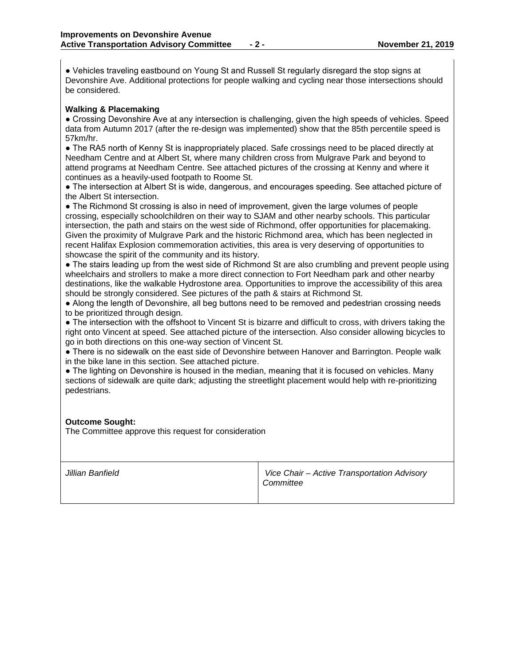● Vehicles traveling eastbound on Young St and Russell St regularly disregard the stop signs at Devonshire Ave. Additional protections for people walking and cycling near those intersections should be considered.

## **Walking & Placemaking**

● Crossing Devonshire Ave at any intersection is challenging, given the high speeds of vehicles. Speed data from Autumn 2017 (after the re-design was implemented) show that the 85th percentile speed is 57km/hr.

• The RA5 north of Kenny St is inappropriately placed. Safe crossings need to be placed directly at Needham Centre and at Albert St, where many children cross from Mulgrave Park and beyond to attend programs at Needham Centre. See attached pictures of the crossing at Kenny and where it continues as a heavily-used footpath to Roome St.

• The intersection at Albert St is wide, dangerous, and encourages speeding. See attached picture of the Albert St intersection.

• The Richmond St crossing is also in need of improvement, given the large volumes of people crossing, especially schoolchildren on their way to SJAM and other nearby schools. This particular intersection, the path and stairs on the west side of Richmond, offer opportunities for placemaking. Given the proximity of Mulgrave Park and the historic Richmond area, which has been neglected in recent Halifax Explosion commemoration activities, this area is very deserving of opportunities to showcase the spirit of the community and its history.

• The stairs leading up from the west side of Richmond St are also crumbling and prevent people using wheelchairs and strollers to make a more direct connection to Fort Needham park and other nearby destinations, like the walkable Hydrostone area. Opportunities to improve the accessibility of this area should be strongly considered. See pictures of the path & stairs at Richmond St.

● Along the length of Devonshire, all beg buttons need to be removed and pedestrian crossing needs to be prioritized through design.

● The intersection with the offshoot to Vincent St is bizarre and difficult to cross, with drivers taking the right onto Vincent at speed. See attached picture of the intersection. Also consider allowing bicycles to go in both directions on this one-way section of Vincent St.

● There is no sidewalk on the east side of Devonshire between Hanover and Barrington. People walk in the bike lane in this section. See attached picture.

• The lighting on Devonshire is housed in the median, meaning that it is focused on vehicles. Many sections of sidewalk are quite dark; adjusting the streetlight placement would help with re-prioritizing pedestrians.

## **Outcome Sought:**

The Committee approve this request for consideration

| Jillian Banfield | Vice Chair - Active Transportation Advisory<br>Committee |
|------------------|----------------------------------------------------------|
|                  |                                                          |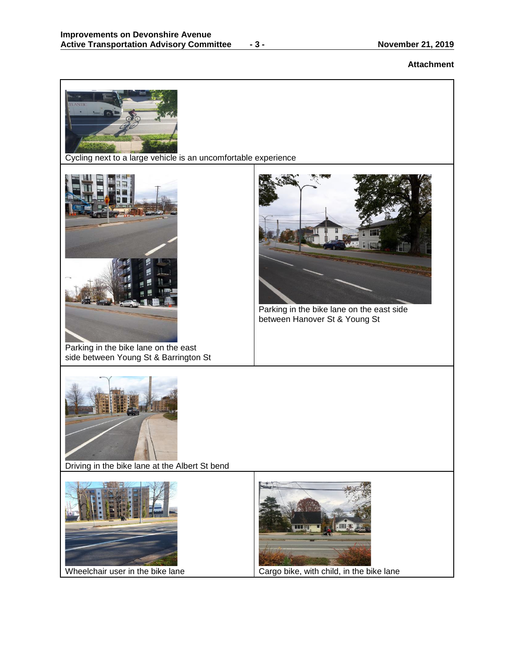## **Attachment**

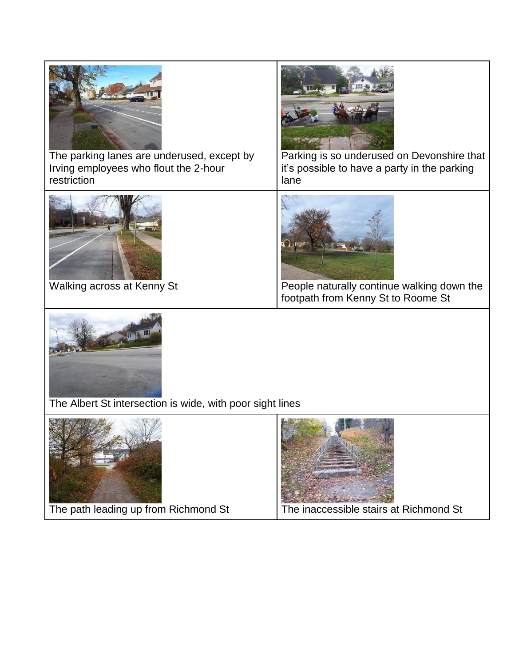

The path leading up from Richmond St The inaccessible stairs at Richmond St